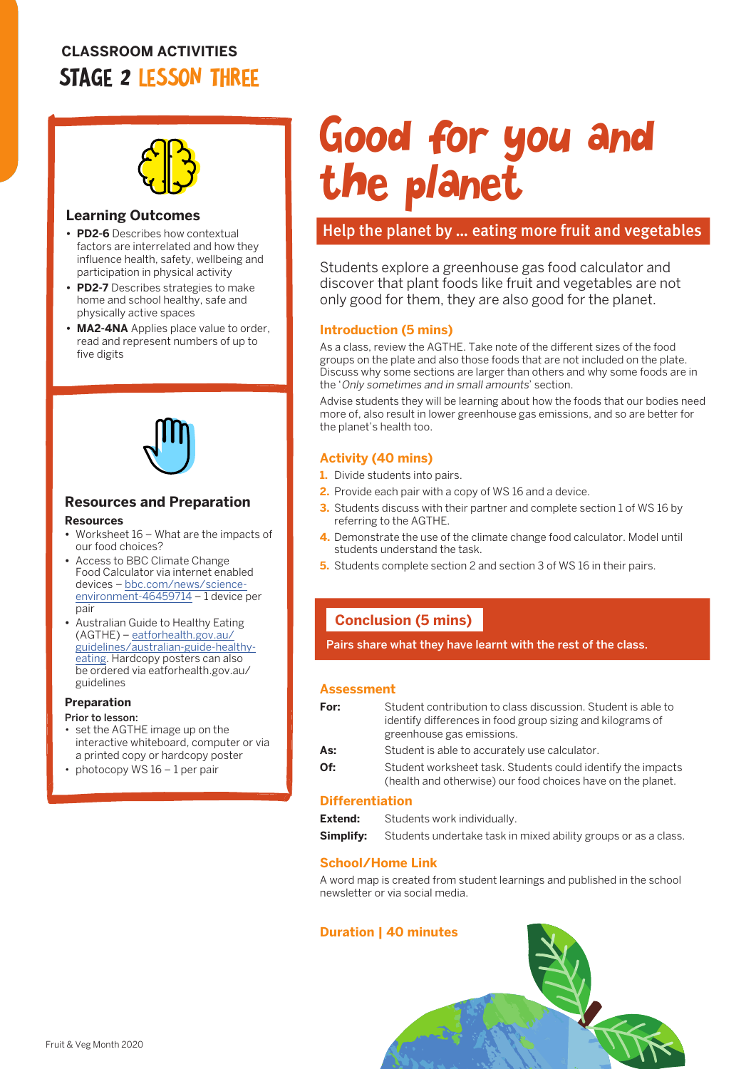# **CLASSROOM ACTIVITIES** STAGE 2 LESSON THREE



#### **Learning Outcomes**

- **• PD2-6** Describes how contextual factors are interrelated and how they influence health, safety, wellbeing and participation in physical activity
- **• PD2-7** Describes strategies to make home and school healthy, safe and physically active spaces
- **• MA2-4NA** Applies place value to order, read and represent numbers of up to five digits



## **Resources and Preparation**

#### **Resources**

- **•** Worksheet 16 What are the impacts of our food choices?
- **•** Access to BBC Climate Change Food Calculator via internet enabled devices – [bbc.com/news/science](http://bbc.com/news/science-environment-46459714)[environment-46459714](http://bbc.com/news/science-environment-46459714) – 1 device per pair
- **•** Australian Guide to Healthy Eating (AGTHE) – [eatforhealth.gov.au/](http://eatforhealth.gov.au/guidelines/australian-guide-healthy-eating) [guidelines/australian-guide-healthy](http://eatforhealth.gov.au/guidelines/australian-guide-healthy-eating)[eating.](http://eatforhealth.gov.au/guidelines/australian-guide-healthy-eating) Hardcopy posters can also be ordered via eatforhealth.gov.au/ guidelines

#### **Preparation**

#### Prior to lesson:

- set the AGTHE image up on the interactive whiteboard, computer or via a printed copy or hardcopy poster
- photocopy WS 16 1 per pair

# Good for you and the planet

## Help the planet by … eating more fruit and vegetables

Students explore a greenhouse gas food calculator and discover that plant foods like fruit and vegetables are not only good for them, they are also good for the planet.

#### **Introduction (5 mins)**

As a class, review the AGTHE. Take note of the different sizes of the food groups on the plate and also those foods that are not included on the plate. Discuss why some sections are larger than others and why some foods are in the 'Only sometimes and in small amounts' section.

Advise students they will be learning about how the foods that our bodies need more of, also result in lower greenhouse gas emissions, and so are better for the planet's health too.

#### **Activity (40 mins)**

- **1.** Divide students into pairs.
- **2.** Provide each pair with a copy of WS 16 and a device.
- **3.** Students discuss with their partner and complete section 1 of WS 16 by referring to the AGTHE.
- **4.** Demonstrate the use of the climate change food calculator. Model until students understand the task.
- **5.** Students complete section 2 and section 3 of WS 16 in their pairs.

#### **Conclusion (5 mins)**

Pairs share what they have learnt with the rest of the class.

#### **Assessment**

| For: | Student contribution to class discussion. Student is able to<br>identify differences in food group sizing and kilograms of<br>greenhouse gas emissions. |  |
|------|---------------------------------------------------------------------------------------------------------------------------------------------------------|--|
| As:  | Student is able to accurately use calculator.                                                                                                           |  |
| Of:  | Student worksheet task. Students could identify the impacts<br>(health and otherwise) our food choices have on the planet.                              |  |

#### **Differentiation**

| Extend: | Students work individually.                                                     |  |
|---------|---------------------------------------------------------------------------------|--|
|         | <b>Simplify:</b> Students undertake task in mixed ability groups or as a class. |  |

#### **School/Home Link**

A word map is created from student learnings and published in the school newsletter or via social media.

#### **Duration | 40 minutes**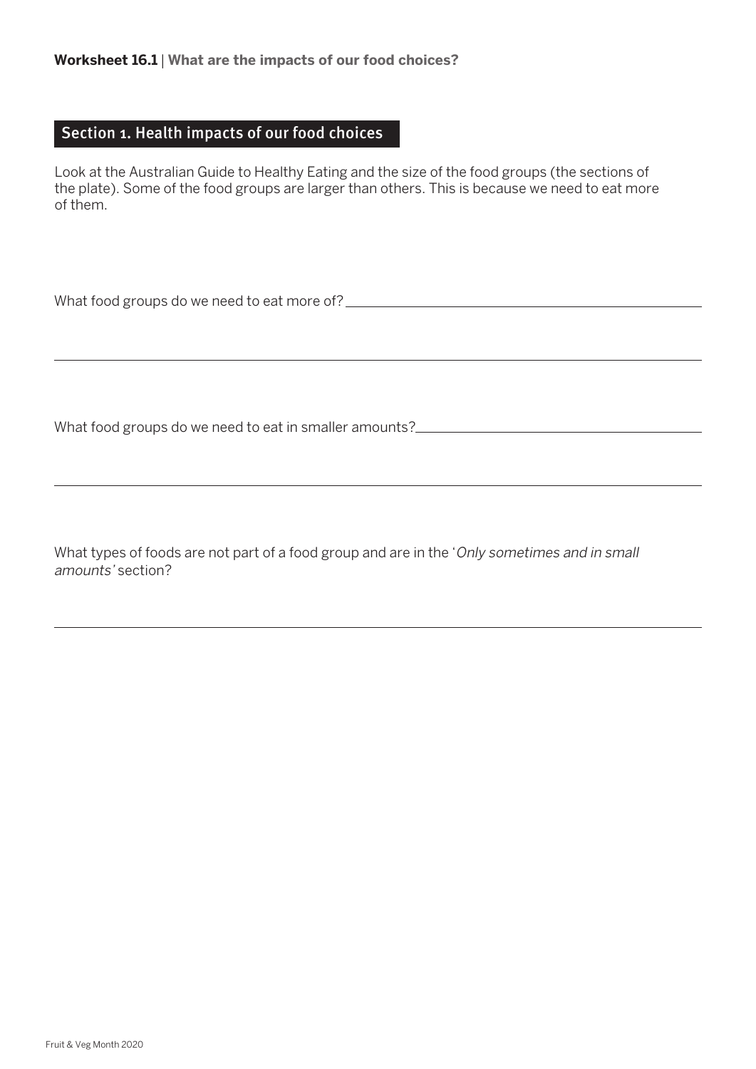## Section 1. Health impacts of our food choices

Look at the Australian Guide to Healthy Eating and the size of the food groups (the sections of the plate). Some of the food groups are larger than others. This is because we need to eat more of them.

What food groups do we need to eat more of?

What food groups do we need to eat in smaller amounts?

What types of foods are not part of a food group and are in the 'Only sometimes and in small amounts' section?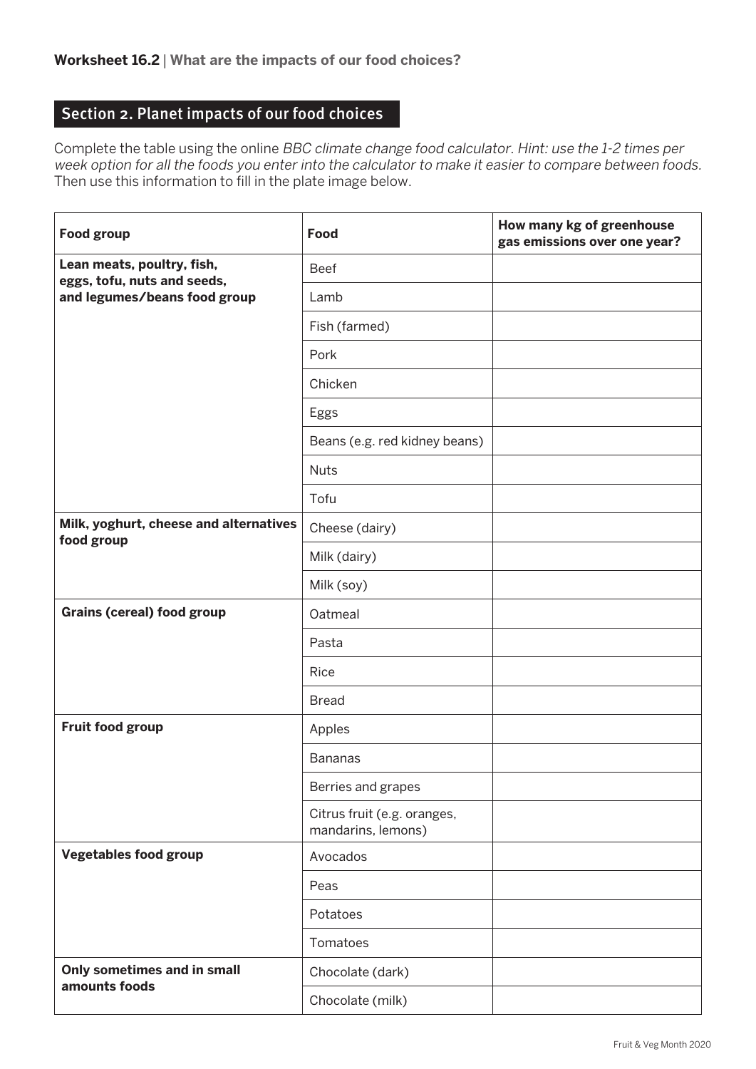# Section 2. Planet impacts of our food choices

Complete the table using the online BBC climate change food calculator. Hint: use the 1-2 times per week option for all the foods you enter into the calculator to make it easier to compare between foods. Then use this information to fill in the plate image below.

| <b>Food group</b>                                         | <b>Food</b>                                       | How many kg of greenhouse<br>gas emissions over one year? |
|-----------------------------------------------------------|---------------------------------------------------|-----------------------------------------------------------|
| Lean meats, poultry, fish,<br>eggs, tofu, nuts and seeds, | <b>Beef</b>                                       |                                                           |
| and legumes/beans food group                              | Lamb                                              |                                                           |
|                                                           | Fish (farmed)                                     |                                                           |
|                                                           | Pork                                              |                                                           |
|                                                           | Chicken                                           |                                                           |
|                                                           | Eggs                                              |                                                           |
|                                                           | Beans (e.g. red kidney beans)                     |                                                           |
|                                                           | <b>Nuts</b>                                       |                                                           |
|                                                           | Tofu                                              |                                                           |
| Milk, yoghurt, cheese and alternatives<br>food group      | Cheese (dairy)                                    |                                                           |
|                                                           | Milk (dairy)                                      |                                                           |
|                                                           | Milk (soy)                                        |                                                           |
| <b>Grains (cereal) food group</b>                         | Oatmeal                                           |                                                           |
|                                                           | Pasta                                             |                                                           |
|                                                           | Rice                                              |                                                           |
|                                                           | <b>Bread</b>                                      |                                                           |
| Fruit food group                                          | Apples                                            |                                                           |
|                                                           | <b>Bananas</b>                                    |                                                           |
|                                                           | Berries and grapes                                |                                                           |
|                                                           | Citrus fruit (e.g. oranges,<br>mandarins, lemons) |                                                           |
| <b>Vegetables food group</b>                              | Avocados                                          |                                                           |
|                                                           | Peas                                              |                                                           |
|                                                           | Potatoes                                          |                                                           |
|                                                           | Tomatoes                                          |                                                           |
| Only sometimes and in small<br>amounts foods              | Chocolate (dark)                                  |                                                           |
|                                                           | Chocolate (milk)                                  |                                                           |